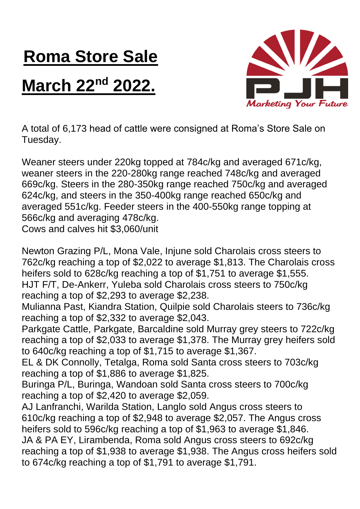## **Roma Store Sale**

## **March 22nd 2022.**



A total of 6,173 head of cattle were consigned at Roma's Store Sale on Tuesday.

Weaner steers under 220kg topped at 784c/kg and averaged 671c/kg, weaner steers in the 220-280kg range reached 748c/kg and averaged 669c/kg. Steers in the 280-350kg range reached 750c/kg and averaged 624c/kg, and steers in the 350-400kg range reached 650c/kg and averaged 551c/kg. Feeder steers in the 400-550kg range topping at 566c/kg and averaging 478c/kg. Cows and calves hit \$3,060/unit

Newton Grazing P/L, Mona Vale, Injune sold Charolais cross steers to 762c/kg reaching a top of \$2,022 to average \$1,813. The Charolais cross heifers sold to 628c/kg reaching a top of \$1,751 to average \$1,555. HJT F/T, De-Ankerr, Yuleba sold Charolais cross steers to 750c/kg reaching a top of \$2,293 to average \$2,238.

Mulianna Past, Kiandra Station, Quilpie sold Charolais steers to 736c/kg reaching a top of \$2,332 to average \$2,043.

Parkgate Cattle, Parkgate, Barcaldine sold Murray grey steers to 722c/kg reaching a top of \$2,033 to average \$1,378. The Murray grey heifers sold to 640c/kg reaching a top of \$1,715 to average \$1,367.

EL & DK Connolly, Tetalga, Roma sold Santa cross steers to 703c/kg reaching a top of \$1,886 to average \$1,825.

Buringa P/L, Buringa, Wandoan sold Santa cross steers to 700c/kg reaching a top of \$2,420 to average \$2,059.

AJ Lanfranchi, Warilda Station, Langlo sold Angus cross steers to 610c/kg reaching a top of \$2,948 to average \$2,057. The Angus cross heifers sold to 596c/kg reaching a top of \$1,963 to average \$1,846. JA & PA EY, Lirambenda, Roma sold Angus cross steers to 692c/kg reaching a top of \$1,938 to average \$1,938. The Angus cross heifers sold to 674c/kg reaching a top of \$1,791 to average \$1,791.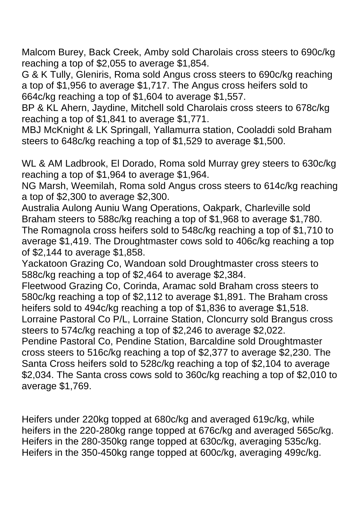Malcom Burey, Back Creek, Amby sold Charolais cross steers to 690c/kg reaching a top of \$2,055 to average \$1,854.

G & K Tully, Gleniris, Roma sold Angus cross steers to 690c/kg reaching a top of \$1,956 to average \$1,717. The Angus cross heifers sold to 664c/kg reaching a top of \$1,604 to average \$1,557.

BP & KL Ahern, Jaydine, Mitchell sold Charolais cross steers to 678c/kg reaching a top of \$1,841 to average \$1,771.

MBJ McKnight & LK Springall, Yallamurra station, Cooladdi sold Braham steers to 648c/kg reaching a top of \$1,529 to average \$1,500.

WL & AM Ladbrook, El Dorado, Roma sold Murray grey steers to 630c/kg reaching a top of \$1,964 to average \$1,964.

NG Marsh, Weemilah, Roma sold Angus cross steers to 614c/kg reaching a top of \$2,300 to average \$2,300.

Australia Aulong Auniu Wang Operations, Oakpark, Charleville sold Braham steers to 588c/kg reaching a top of \$1,968 to average \$1,780. The Romagnola cross heifers sold to 548c/kg reaching a top of \$1,710 to average \$1,419. The Droughtmaster cows sold to 406c/kg reaching a top of \$2,144 to average \$1,858.

Yackatoon Grazing Co, Wandoan sold Droughtmaster cross steers to 588c/kg reaching a top of \$2,464 to average \$2,384.

Fleetwood Grazing Co, Corinda, Aramac sold Braham cross steers to 580c/kg reaching a top of \$2,112 to average \$1,891. The Braham cross heifers sold to 494c/kg reaching a top of \$1,836 to average \$1,518. Lorraine Pastoral Co P/L, Lorraine Station, Cloncurry sold Brangus cross steers to 574c/kg reaching a top of \$2,246 to average \$2,022.

Pendine Pastoral Co, Pendine Station, Barcaldine sold Droughtmaster cross steers to 516c/kg reaching a top of \$2,377 to average \$2,230. The Santa Cross heifers sold to 528c/kg reaching a top of \$2,104 to average \$2,034. The Santa cross cows sold to 360c/kg reaching a top of \$2,010 to average \$1,769.

Heifers under 220kg topped at 680c/kg and averaged 619c/kg, while heifers in the 220-280kg range topped at 676c/kg and averaged 565c/kg. Heifers in the 280-350kg range topped at 630c/kg, averaging 535c/kg. Heifers in the 350-450kg range topped at 600c/kg, averaging 499c/kg.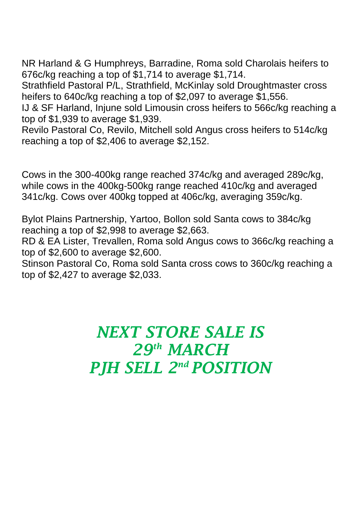NR Harland & G Humphreys, Barradine, Roma sold Charolais heifers to 676c/kg reaching a top of \$1,714 to average \$1,714.

Strathfield Pastoral P/L, Strathfield, McKinlay sold Droughtmaster cross heifers to 640c/kg reaching a top of \$2,097 to average \$1,556.

IJ & SF Harland, Injune sold Limousin cross heifers to 566c/kg reaching a top of \$1,939 to average \$1,939.

Revilo Pastoral Co, Revilo, Mitchell sold Angus cross heifers to 514c/kg reaching a top of \$2,406 to average \$2,152.

Cows in the 300-400kg range reached 374c/kg and averaged 289c/kg, while cows in the 400kg-500kg range reached 410c/kg and averaged 341c/kg. Cows over 400kg topped at 406c/kg, averaging 359c/kg.

Bylot Plains Partnership, Yartoo, Bollon sold Santa cows to 384c/kg reaching a top of \$2,998 to average \$2,663.

RD & EA Lister, Trevallen, Roma sold Angus cows to 366c/kg reaching a top of \$2,600 to average \$2,600.

Stinson Pastoral Co, Roma sold Santa cross cows to 360c/kg reaching a top of \$2,427 to average \$2,033.

> *NEXT STORE SALE IS 29th MARCH PJH SELL 2 nd POSITION*